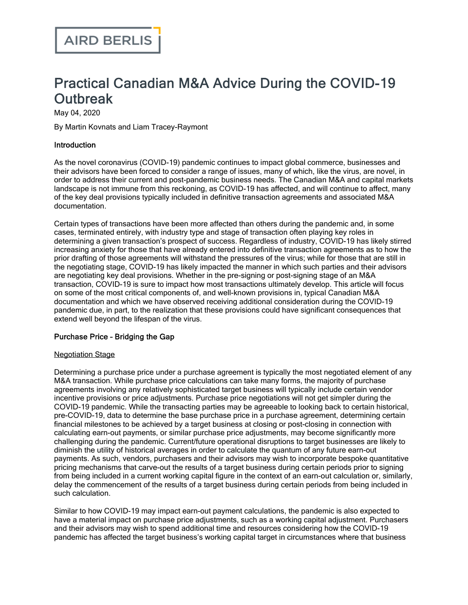# Practical Canadian M&A Advice During the COVID-19 **Outbreak**

May 04, 2020

By Martin Kovnats and Liam Tracey-Raymont

#### Introduction

As the novel coronavirus (COVID-19) pandemic continues to impact global commerce, businesses and their advisors have been forced to consider a range of issues, many of which, like the virus, are novel, in order to address their current and post-pandemic business needs. The Canadian M&A and capital markets landscape is not immune from this reckoning, as COVID-19 has affected, and will continue to affect, many of the key deal provisions typically included in definitive transaction agreements and associated M&A documentation.

Certain types of transactions have been more affected than others during the pandemic and, in some cases, terminated entirely, with industry type and stage of transaction often playing key roles in determining a given transaction's prospect of success. Regardless of industry, COVID-19 has likely stirred increasing anxiety for those that have already entered into definitive transaction agreements as to how the prior drafting of those agreements will withstand the pressures of the virus; while for those that are still in the negotiating stage, COVID-19 has likely impacted the manner in which such parties and their advisors are negotiating key deal provisions. Whether in the pre-signing or post-signing stage of an M&A transaction, COVID-19 is sure to impact how most transactions ultimately develop. This article will focus on some of the most critical components of, and well-known provisions in, typical Canadian M&A documentation and which we have observed receiving additional consideration during the COVID-19 pandemic due, in part, to the realization that these provisions could have significant consequences that extend well beyond the lifespan of the virus.

## Purchase Price – Bridging the Gap

#### Negotiation Stage

Determining a purchase price under a purchase agreement is typically the most negotiated element of any M&A transaction. While purchase price calculations can take many forms, the majority of purchase agreements involving any relatively sophisticated target business will typically include certain vendor incentive provisions or price adjustments. Purchase price negotiations will not get simpler during the COVID-19 pandemic. While the transacting parties may be agreeable to looking back to certain historical, pre-COVID-19, data to determine the base purchase price in a purchase agreement, determining certain financial milestones to be achieved by a target business at closing or post-closing in connection with calculating earn-out payments, or similar purchase price adjustments, may become significantly more challenging during the pandemic. Current/future operational disruptions to target businesses are likely to diminish the utility of historical averages in order to calculate the quantum of any future earn-out payments. As such, vendors, purchasers and their advisors may wish to incorporate bespoke quantitative pricing mechanisms that carve-out the results of a target business during certain periods prior to signing from being included in a current working capital figure in the context of an earn-out calculation or, similarly, delay the commencement of the results of a target business during certain periods from being included in such calculation.

Similar to how COVID-19 may impact earn-out payment calculations, the pandemic is also expected to have a material impact on purchase price adjustments, such as a working capital adjustment. Purchasers and their advisors may wish to spend additional time and resources considering how the COVID-19 pandemic has affected the target business's working capital target in circumstances where that business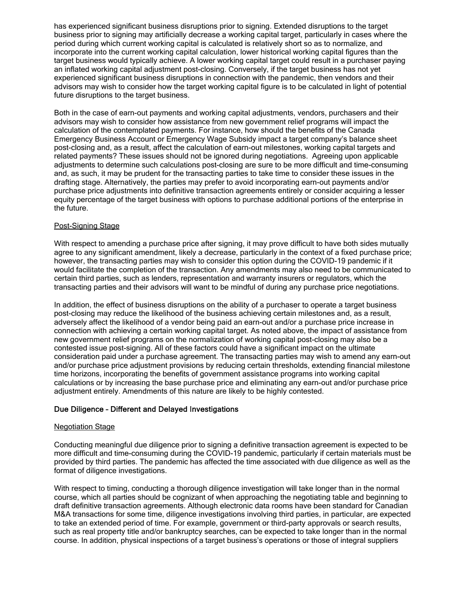has experienced significant business disruptions prior to signing. Extended disruptions to the target business prior to signing may artificially decrease a working capital target, particularly in cases where the period during which current working capital is calculated is relatively short so as to normalize, and incorporate into the current working capital calculation, lower historical working capital figures than the target business would typically achieve. A lower working capital target could result in a purchaser paying an inflated working capital adjustment post-closing. Conversely, if the target business has not yet experienced significant business disruptions in connection with the pandemic, then vendors and their advisors may wish to consider how the target working capital figure is to be calculated in light of potential future disruptions to the target business.

Both in the case of earn-out payments and working capital adjustments, vendors, purchasers and their advisors may wish to consider how assistance from new government relief programs will impact the calculation of the contemplated payments. For instance, how should the benefits of the Canada Emergency Business Account or Emergency Wage Subsidy impact a target company's balance sheet post-closing and, as a result, affect the calculation of earn-out milestones, working capital targets and related payments? These issues should not be ignored during negotiations. Agreeing upon applicable adjustments to determine such calculations post-closing are sure to be more difficult and time-consuming and, as such, it may be prudent for the transacting parties to take time to consider these issues in the drafting stage. Alternatively, the parties may prefer to avoid incorporating earn-out payments and/or purchase price adjustments into definitive transaction agreements entirely or consider acquiring a lesser equity percentage of the target business with options to purchase additional portions of the enterprise in the future.

#### Post-Signing Stage

With respect to amending a purchase price after signing, it may prove difficult to have both sides mutually agree to any significant amendment, likely a decrease, particularly in the context of a fixed purchase price; however, the transacting parties may wish to consider this option during the COVID-19 pandemic if it would facilitate the completion of the transaction. Any amendments may also need to be communicated to certain third parties, such as lenders, representation and warranty insurers or regulators, which the transacting parties and their advisors will want to be mindful of during any purchase price negotiations.

In addition, the effect of business disruptions on the ability of a purchaser to operate a target business post-closing may reduce the likelihood of the business achieving certain milestones and, as a result, adversely affect the likelihood of a vendor being paid an earn-out and/or a purchase price increase in connection with achieving a certain working capital target. As noted above, the impact of assistance from new government relief programs on the normalization of working capital post-closing may also be a contested issue post-signing. All of these factors could have a significant impact on the ultimate consideration paid under a purchase agreement. The transacting parties may wish to amend any earn-out and/or purchase price adjustment provisions by reducing certain thresholds, extending financial milestone time horizons, incorporating the benefits of government assistance programs into working capital calculations or by increasing the base purchase price and eliminating any earn-out and/or purchase price adjustment entirely. Amendments of this nature are likely to be highly contested.

#### Due Diligence – Different and Delayed Investigations

#### Negotiation Stage

Conducting meaningful due diligence prior to signing a definitive transaction agreement is expected to be more difficult and time-consuming during the COVID-19 pandemic, particularly if certain materials must be provided by third parties. The pandemic has affected the time associated with due diligence as well as the format of diligence investigations.

With respect to timing, conducting a thorough diligence investigation will take longer than in the normal course, which all parties should be cognizant of when approaching the negotiating table and beginning to draft definitive transaction agreements. Although electronic data rooms have been standard for Canadian M&A transactions for some time, diligence investigations involving third parties, in particular, are expected to take an extended period of time. For example, government or third-party approvals or search results, such as real property title and/or bankruptcy searches, can be expected to take longer than in the normal course. In addition, physical inspections of a target business's operations or those of integral suppliers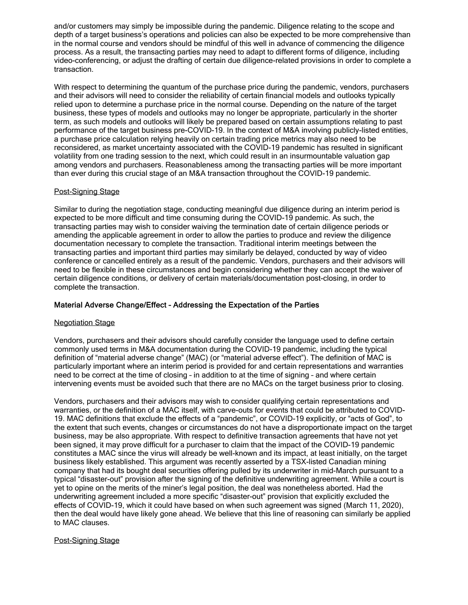and/or customers may simply be impossible during the pandemic. Diligence relating to the scope and depth of a target business's operations and policies can also be expected to be more comprehensive than in the normal course and vendors should be mindful of this well in advance of commencing the diligence process. As a result, the transacting parties may need to adapt to different forms of diligence, including video-conferencing, or adjust the drafting of certain due diligence-related provisions in order to complete a transaction.

With respect to determining the quantum of the purchase price during the pandemic, vendors, purchasers and their advisors will need to consider the reliability of certain financial models and outlooks typically relied upon to determine a purchase price in the normal course. Depending on the nature of the target business, these types of models and outlooks may no longer be appropriate, particularly in the shorter term, as such models and outlooks will likely be prepared based on certain assumptions relating to past performance of the target business pre-COVID-19. In the context of M&A involving publicly-listed entities, a purchase price calculation relying heavily on certain trading price metrics may also need to be reconsidered, as market uncertainty associated with the COVID-19 pandemic has resulted in significant volatility from one trading session to the next, which could result in an insurmountable valuation gap among vendors and purchasers. Reasonableness among the transacting parties will be more important than ever during this crucial stage of an M&A transaction throughout the COVID-19 pandemic.

## Post-Signing Stage

Similar to during the negotiation stage, conducting meaningful due diligence during an interim period is expected to be more difficult and time consuming during the COVID-19 pandemic. As such, the transacting parties may wish to consider waiving the termination date of certain diligence periods or amending the applicable agreement in order to allow the parties to produce and review the diligence documentation necessary to complete the transaction. Traditional interim meetings between the transacting parties and important third parties may similarly be delayed, conducted by way of video conference or cancelled entirely as a result of the pandemic. Vendors, purchasers and their advisors will need to be flexible in these circumstances and begin considering whether they can accept the waiver of certain diligence conditions, or delivery of certain materials/documentation post-closing, in order to complete the transaction.

#### Material Adverse Change/Effect – Addressing the Expectation of the Parties

#### **Negotiation Stage**

Vendors, purchasers and their advisors should carefully consider the language used to define certain commonly used terms in M&A documentation during the COVID-19 pandemic, including the typical definition of "material adverse change" (MAC) (or "material adverse effect"). The definition of MAC is particularly important where an interim period is provided for and certain representations and warranties need to be correct at the time of closing – in addition to at the time of signing – and where certain intervening events must be avoided such that there are no MACs on the target business prior to closing.

Vendors, purchasers and their advisors may wish to consider qualifying certain representations and warranties, or the definition of a MAC itself, with carve-outs for events that could be attributed to COVID-19. MAC definitions that exclude the effects of a "pandemic", or COVID-19 explicitly, or "acts of God", to the extent that such events, changes or circumstances do not have a disproportionate impact on the target business, may be also appropriate. With respect to definitive transaction agreements that have not yet been signed, it may prove difficult for a purchaser to claim that the impact of the COVID-19 pandemic constitutes a MAC since the virus will already be well-known and its impact, at least initially, on the target business likely established. This [argument](https://www.airdberlis.com/insights/publications/publication/termination-provisions-in-securities-offerings-impacts-of-covid-19) was recently asserted by a TSX-listed Canadian mining company that had its bought deal securities offering pulled by its underwriter in mid-March pursuant to a typical "disaster-out" provision after the signing of the definitive underwriting agreement. While a court is yet to opine on the merits of the miner's legal position, the deal was nonetheless aborted. Had the underwriting agreement included a more specific "disaster-out" provision that explicitly excluded the effects of COVID-19, which it could have based on when such agreement was signed (March 11, 2020), then the deal would have likely gone ahead. We believe that this line of reasoning can similarly be applied to MAC clauses.

#### Post-Signing Stage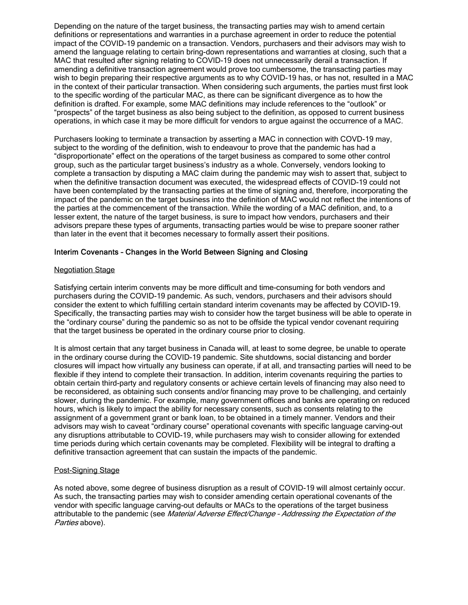Depending on the nature of the target business, the transacting parties may wish to amend certain definitions or representations and warranties in a purchase agreement in order to reduce the potential impact of the COVID-19 pandemic on a transaction. Vendors, purchasers and their advisors may wish to amend the language relating to certain bring-down representations and warranties at closing, such that a MAC that resulted after signing relating to COVID-19 does not unnecessarily derail a transaction. If amending a definitive transaction agreement would prove too cumbersome, the transacting parties may wish to begin preparing their respective arguments as to why COVID-19 has, or has not, resulted in a MAC in the context of their particular transaction. When considering such arguments, the parties must first look to the specific wording of the particular MAC, as there can be significant divergence as to how the definition is drafted. For example, some MAC definitions may include references to the "outlook" or "prospects" of the target business as also being subject to the definition, as opposed to current business operations, in which case it may be more difficult for vendors to argue against the occurrence of a MAC.

Purchasers looking to terminate a transaction by asserting a MAC in connection with COVD-19 may, subject to the wording of the definition, wish to endeavour to prove that the pandemic has had a "disproportionate" effect on the operations of the target business as compared to some other control group, such as the particular target business's industry as a whole. Conversely, vendors looking to complete a transaction by disputing a MAC claim during the pandemic may wish to assert that, subject to when the definitive transaction document was executed, the widespread effects of COVID-19 could not have been contemplated by the transacting parties at the time of signing and, therefore, incorporating the impact of the pandemic on the target business into the definition of MAC would not reflect the intentions of the parties at the commencement of the transaction. While the wording of a MAC definition, and, to a lesser extent, the nature of the target business, is sure to impact how vendors, purchasers and their advisors prepare these types of arguments, transacting parties would be wise to prepare sooner rather than later in the event that it becomes necessary to formally assert their positions.

#### Interim Covenants – Changes in the World Between Signing and Closing

#### Negotiation Stage

Satisfying certain interim convents may be more difficult and time-consuming for both vendors and purchasers during the COVID-19 pandemic. As such, vendors, purchasers and their advisors should consider the extent to which fulfilling certain standard interim covenants may be affected by COVID-19. Specifically, the transacting parties may wish to consider how the target business will be able to operate in the "ordinary course" during the pandemic so as not to be offside the typical vendor covenant requiring that the target business be operated in the ordinary course prior to closing.

It is almost certain that any target business in Canada will, at least to some degree, be unable to operate in the ordinary course during the COVID-19 pandemic. Site shutdowns, social distancing and border closures will impact how virtually any business can operate, if at all, and transacting parties will need to be flexible if they intend to complete their transaction. In addition, interim covenants requiring the parties to obtain certain third-party and regulatory consents or achieve certain levels of financing may also need to be reconsidered, as obtaining such consents and/or financing may prove to be challenging, and certainly slower, during the pandemic. For example, many government offices and banks are operating on reduced hours, which is likely to impact the ability for necessary consents, such as consents relating to the assignment of a government grant or bank loan, to be obtained in a timely manner. Vendors and their advisors may wish to caveat "ordinary course" operational covenants with specific language carving-out any disruptions attributable to COVID-19, while purchasers may wish to consider allowing for extended time periods during which certain covenants may be completed. Flexibility will be integral to drafting a definitive transaction agreement that can sustain the impacts of the pandemic.

#### Post-Signing Stage

As noted above, some degree of business disruption as a result of COVID-19 will almost certainly occur. As such, the transacting parties may wish to consider amending certain operational covenants of the vendor with specific language carving-out defaults or MACs to the operations of the target business attributable to the pandemic (see Material Adverse Effect/Change - Addressing the Expectation of the Parties above).